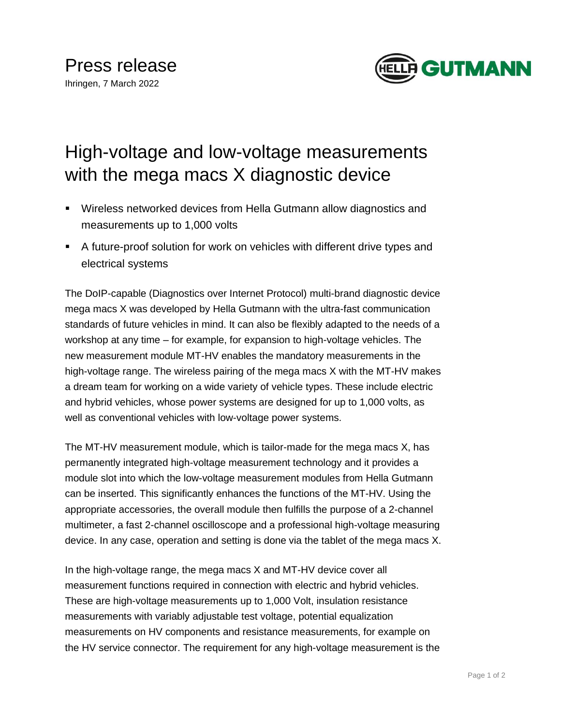

## High-voltage and low-voltage measurements with the mega macs X diagnostic device

- Wireless networked devices from Hella Gutmann allow diagnostics and measurements up to 1,000 volts
- A future-proof solution for work on vehicles with different drive types and electrical systems

The DoIP-capable (Diagnostics over Internet Protocol) multi-brand diagnostic device mega macs X was developed by Hella Gutmann with the ultra-fast communication standards of future vehicles in mind. It can also be flexibly adapted to the needs of a workshop at any time – for example, for expansion to high-voltage vehicles. The new measurement module MT-HV enables the mandatory measurements in the high-voltage range. The wireless pairing of the mega macs X with the MT-HV makes a dream team for working on a wide variety of vehicle types. These include electric and hybrid vehicles, whose power systems are designed for up to 1,000 volts, as well as conventional vehicles with low-voltage power systems.

The MT-HV measurement module, which is tailor-made for the mega macs X, has permanently integrated high-voltage measurement technology and it provides a module slot into which the low-voltage measurement modules from Hella Gutmann can be inserted. This significantly enhances the functions of the MT-HV. Using the appropriate accessories, the overall module then fulfills the purpose of a 2-channel multimeter, a fast 2-channel oscilloscope and a professional high-voltage measuring device. In any case, operation and setting is done via the tablet of the mega macs X.

In the high-voltage range, the mega macs X and MT-HV device cover all measurement functions required in connection with electric and hybrid vehicles. These are high-voltage measurements up to 1,000 Volt, insulation resistance measurements with variably adjustable test voltage, potential equalization measurements on HV components and resistance measurements, for example on the HV service connector. The requirement for any high-voltage measurement is the